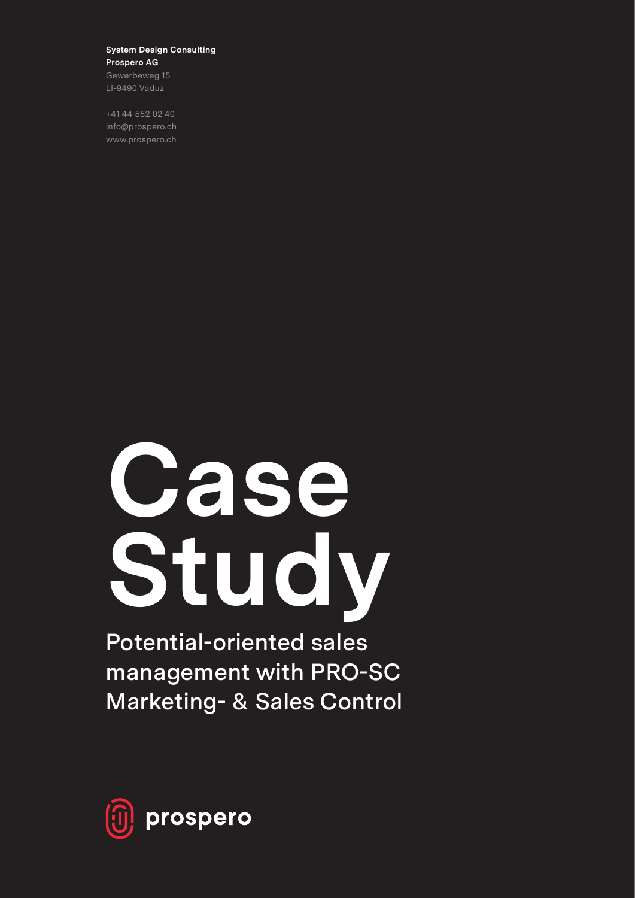#### **System Design Consulting Prospero AG**

Gewerbeweg 15 LI-9490 Vaduz

+41 44 552 02 40 info@prospero.ch www.prospero.ch

# **Case Study**

**Potential-oriented sales management with PRO-SC Marketing- & Sales Control**

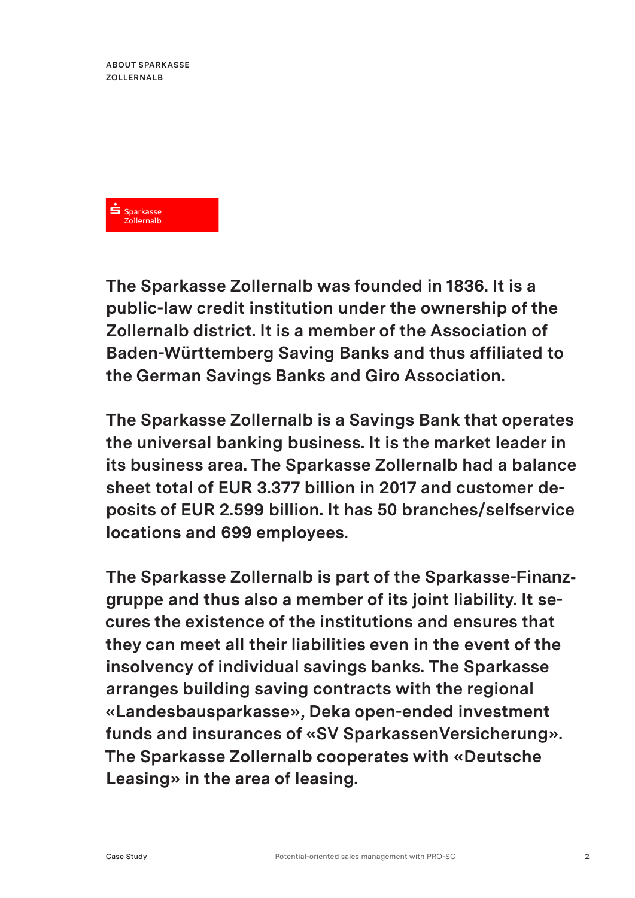**ABOUT SPARKASSE ZOLLERNALB** 



**The Sparkasse Zollernalb was founded in 1836. It is a public-law credit institution under the ownership of the Zollernalb district. It is a member of the Association of Baden-Württemberg Saving Banks and thus affiliated to the German Savings Banks and Giro Association.**

**The Sparkasse Zollernalb is a Savings Bank that operates the universal banking business. It is the market leader in its business area. The Sparkasse Zollernalb had a balance sheet total of EUR 3.377 billion in 2017 and customer deposits of EUR 2.599 billion. It has 50 branches/selfservice locations and 699 employees.**

**The Sparkasse Zollernalb is part of the Sparkasse-Finanzgruppe and thus also a member of its joint liability. It secures the existence of the institutions and ensures that they can meet all their liabilities even in the event of the insolvency of individual savings banks. The Sparkasse arranges building saving contracts with the regional «Landesbausparkasse», Deka open-ended investment funds and insurances of «SV SparkassenVersicherung». The Sparkasse Zollernalb cooperates with «Deutsche Leasing» in the area of leasing.**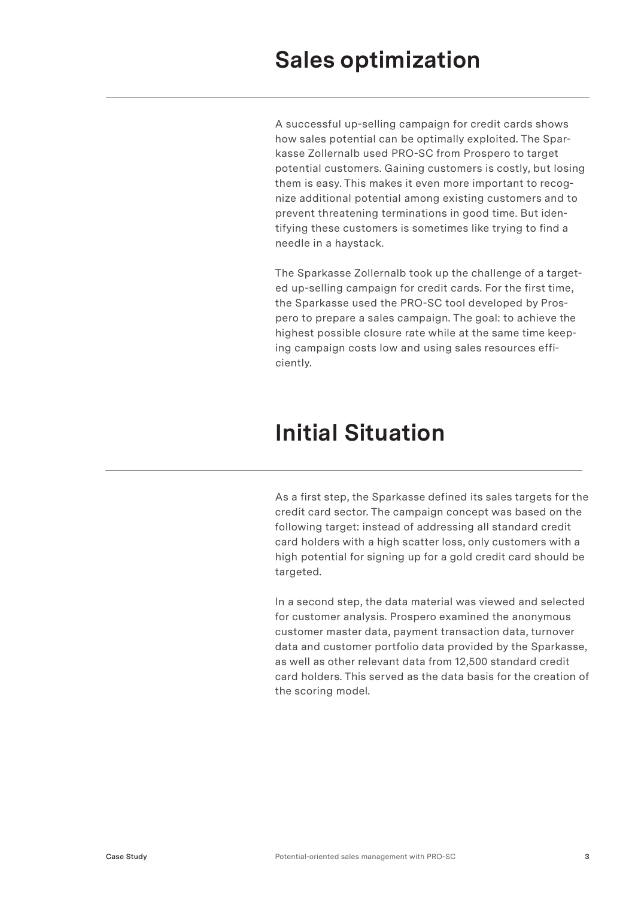## **Sales optimization**

A successful up-selling campaign for credit cards shows how sales potential can be optimally exploited. The Sparkasse Zollernalb used PRO-SC from Prospero to target potential customers. Gaining customers is costly, but losing them is easy. This makes it even more important to recognize additional potential among existing customers and to prevent threatening terminations in good time. But identifying these customers is sometimes like trying to find a needle in a haystack.

The Sparkasse Zollernalb took up the challenge of a targeted up-selling campaign for credit cards. For the first time, the Sparkasse used the PRO-SC tool developed by Prospero to prepare a sales campaign. The goal: to achieve the highest possible closure rate while at the same time keeping campaign costs low and using sales resources efficiently.

## **Initial Situation**

As a first step, the Sparkasse defined its sales targets for the credit card sector. The campaign concept was based on the following target: instead of addressing all standard credit card holders with a high scatter loss, only customers with a high potential for signing up for a gold credit card should be targeted.

In a second step, the data material was viewed and selected for customer analysis. Prospero examined the anonymous customer master data, payment transaction data, turnover data and customer portfolio data provided by the Sparkasse, as well as other relevant data from 12,500 standard credit card holders. This served as the data basis for the creation of the scoring model.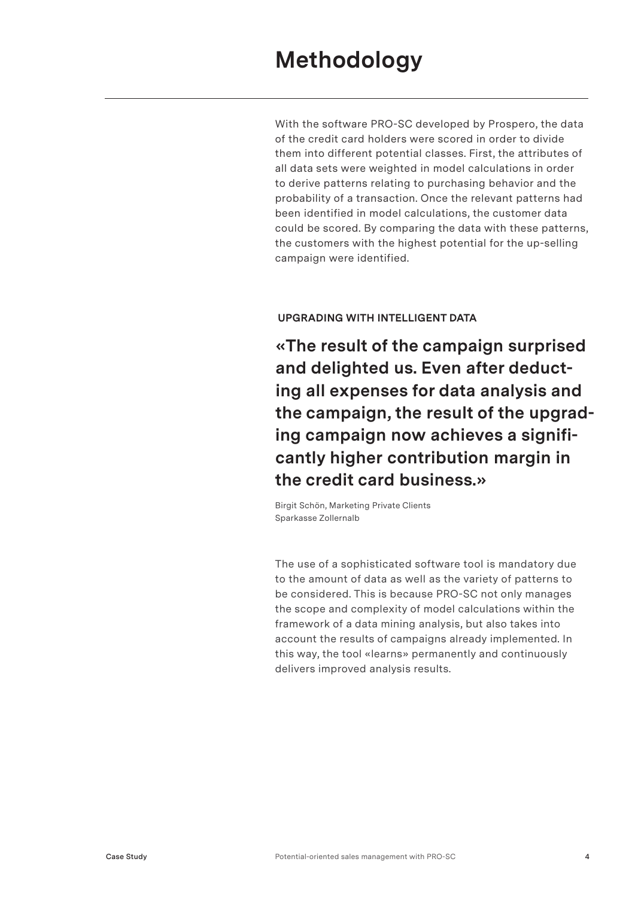With the software PRO-SC developed by Prospero, the data of the credit card holders were scored in order to divide them into different potential classes. First, the attributes of all data sets were weighted in model calculations in order to derive patterns relating to purchasing behavior and the probability of a transaction. Once the relevant patterns had been identified in model calculations, the customer data could be scored. By comparing the data with these patterns, the customers with the highest potential for the up-selling campaign were identified.

#### **UPGRADING WITH INTELLIGENT DATA**

**«The result of the campaign surprised and delighted us. Even after deducting all expenses for data analysis and the campaign, the result of the upgrading campaign now achieves a significantly higher contribution margin in the credit card business.»**

Birgit Schön, Marketing Private Clients Sparkasse Zollernalb

The use of a sophisticated software tool is mandatory due to the amount of data as well as the variety of patterns to be considered. This is because PRO-SC not only manages the scope and complexity of model calculations within the framework of a data mining analysis, but also takes into account the results of campaigns already implemented. In this way, the tool «learns» permanently and continuously delivers improved analysis results.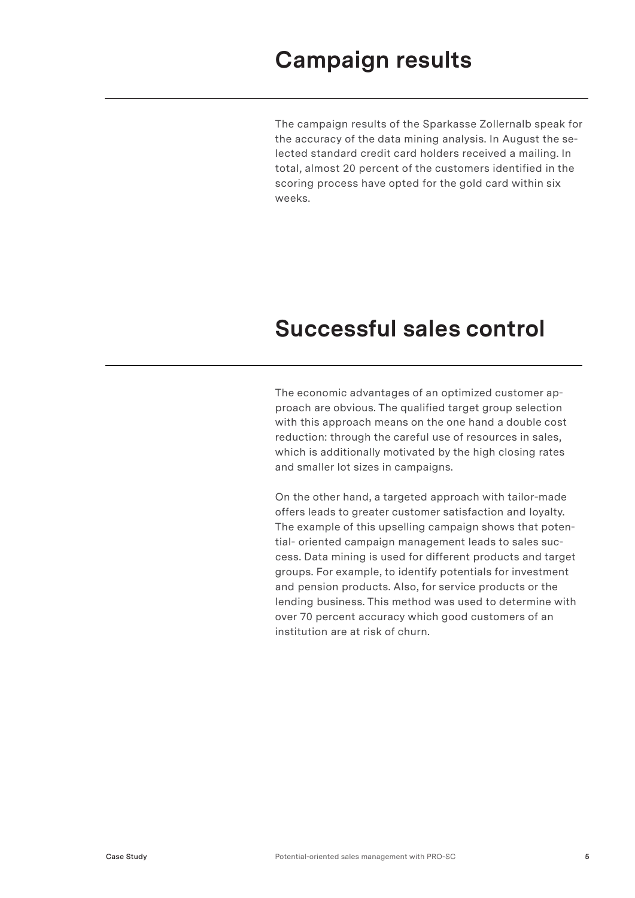The campaign results of the Sparkasse Zollernalb speak for the accuracy of the data mining analysis. In August the selected standard credit card holders received a mailing. In total, almost 20 percent of the customers identified in the scoring process have opted for the gold card within six weeks.

### **Successful sales control**

The economic advantages of an optimized customer approach are obvious. The qualified target group selection with this approach means on the one hand a double cost reduction: through the careful use of resources in sales, which is additionally motivated by the high closing rates and smaller lot sizes in campaigns.

On the other hand, a targeted approach with tailor-made offers leads to greater customer satisfaction and loyalty. The example of this upselling campaign shows that potential- oriented campaign management leads to sales success. Data mining is used for different products and target groups. For example, to identify potentials for investment and pension products. Also, for service products or the lending business. This method was used to determine with over 70 percent accuracy which good customers of an institution are at risk of churn.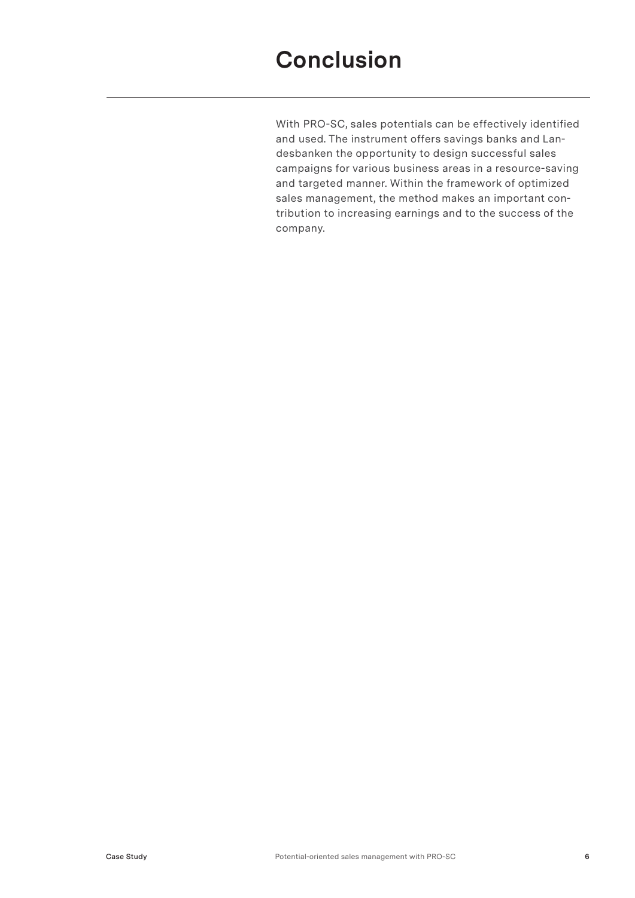With PRO-SC, sales potentials can be effectively identified and used. The instrument offers savings banks and Landesbanken the opportunity to design successful sales campaigns for various business areas in a resource-saving and targeted manner. Within the framework of optimized sales management, the method makes an important contribution to increasing earnings and to the success of the company.